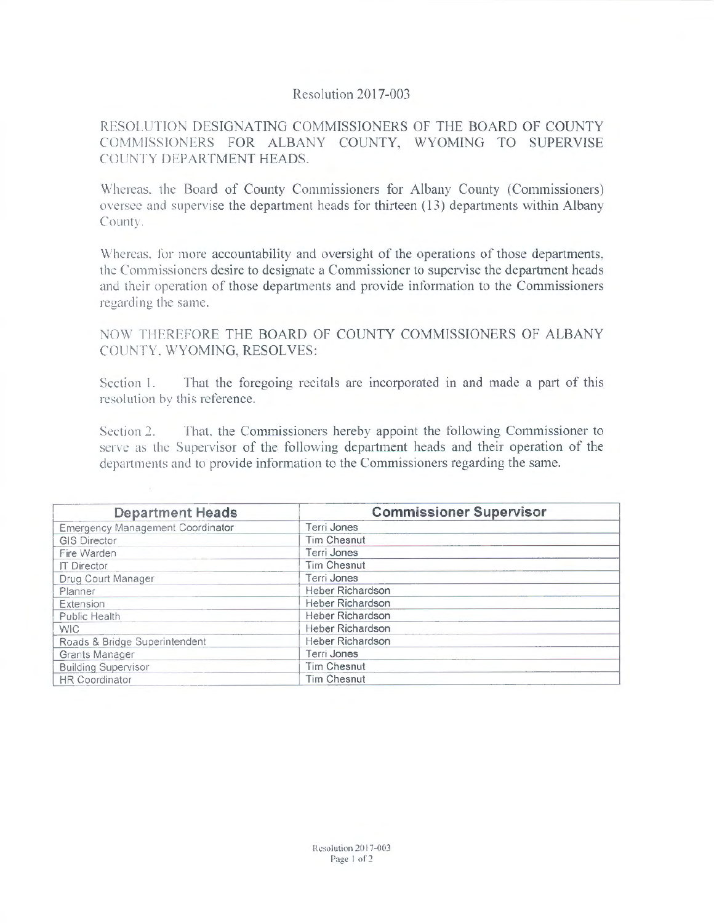## Resolution 2017-003

## RESOLUTION DESIGNATING COMMISSIONERS OF THE BOARD OF COUNTY COMMISSIONERS FOR ALBANY COUNTY, WYOMING TO SUPERVISE COUNTY DEPARTMENT HEADS.

Whereas. the Board of County Commissioners for Albany County (Commissioners) oversee and supervise the department heads for thirteen ( 13) departments within Albany Count:.

Whereas. for more accountability and oversight of the operations of those departments, the Commissioners desire to designate a Commissioner to supervise the department heads and their operation of those departments and provide information to the Commissioners regarding the same.

NOW THEREFORE THE BOARD OF COUNTY COMMISSIONERS OF ALBANY COUNTY. WYOMING, RESOLVES:

Section I. That the foregoing recitals are incorporated in and made a part of this resolution by this reference.

Section *2.* That. the Commissioners hereby appoint the following Commissioner to serve as the Supervisor of the following department heads and their operation of the departments aml lo provide information to the Commissioners regarding the same.

| <b>Department Heads</b>          | <b>Commissioner Supervisor</b> |
|----------------------------------|--------------------------------|
| Emergency Management Coordinator | Terri Jones                    |
| <b>GIS Director</b>              | <b>Tim Chesnut</b>             |
| Fire Warden                      | Terri Jones                    |
| <b>IT Director</b>               | <b>Tim Chesnut</b>             |
| Drug Court Manager               | Terri Jones                    |
| Planner                          | Heber Richardson               |
| Extension                        | Heber Richardson               |
| Public Health                    | Heber Richardson               |
| <b>WIC</b>                       | Heber Richardson               |
| Roads & Bridge Superintendent    | Heber Richardson               |
| Grants Manager                   | Terri Jones                    |
| <b>Building Supervisor</b>       | Tim Chesnut                    |
| <b>HR Coordinator</b>            | <b>Tim Chesnut</b>             |